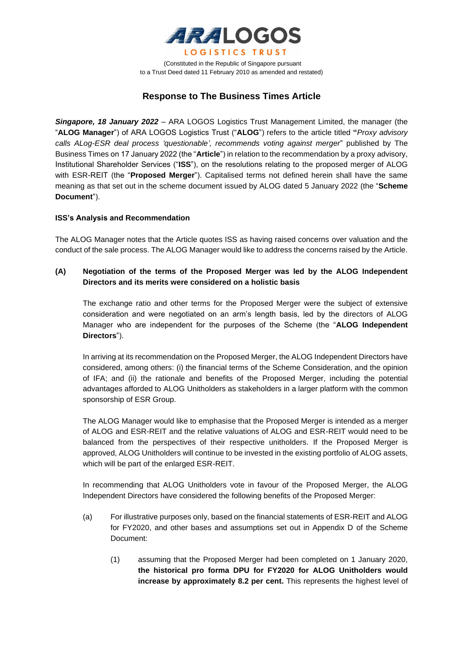

(Constituted in the Republic of Singapore pursuant to a Trust Deed dated 11 February 2010 as amended and restated)

# **Response to The Business Times Article**

*Singapore, 18 January 2022* – ARA LOGOS Logistics Trust Management Limited, the manager (the "**ALOG Manager**") of ARA LOGOS Logistics Trust ("**ALOG**") refers to the article titled **"***Proxy advisory calls ALog-ESR deal process 'questionable', recommends voting against merger*" published by The Business Times on 17 January 2022 (the "**Article**") in relation to the recommendation by a proxy advisory, Institutional Shareholder Services ("**ISS**"), on the resolutions relating to the proposed merger of ALOG with ESR-REIT (the "**Proposed Merger**"). Capitalised terms not defined herein shall have the same meaning as that set out in the scheme document issued by ALOG dated 5 January 2022 (the "**Scheme Document**").

## **ISS's Analysis and Recommendation**

The ALOG Manager notes that the Article quotes ISS as having raised concerns over valuation and the conduct of the sale process. The ALOG Manager would like to address the concerns raised by the Article.

# **(A) Negotiation of the terms of the Proposed Merger was led by the ALOG Independent Directors and its merits were considered on a holistic basis**

The exchange ratio and other terms for the Proposed Merger were the subject of extensive consideration and were negotiated on an arm's length basis, led by the directors of ALOG Manager who are independent for the purposes of the Scheme (the "**ALOG Independent Directors**").

In arriving at its recommendation on the Proposed Merger, the ALOG Independent Directors have considered, among others: (i) the financial terms of the Scheme Consideration, and the opinion of IFA; and (ii) the rationale and benefits of the Proposed Merger, including the potential advantages afforded to ALOG Unitholders as stakeholders in a larger platform with the common sponsorship of ESR Group.

The ALOG Manager would like to emphasise that the Proposed Merger is intended as a merger of ALOG and ESR-REIT and the relative valuations of ALOG and ESR-REIT would need to be balanced from the perspectives of their respective unitholders. If the Proposed Merger is approved, ALOG Unitholders will continue to be invested in the existing portfolio of ALOG assets, which will be part of the enlarged ESR-REIT.

In recommending that ALOG Unitholders vote in favour of the Proposed Merger, the ALOG Independent Directors have considered the following benefits of the Proposed Merger:

- (a) For illustrative purposes only, based on the financial statements of ESR-REIT and ALOG for FY2020, and other bases and assumptions set out in Appendix D of the Scheme Document:
	- (1) assuming that the Proposed Merger had been completed on 1 January 2020, **the historical pro forma DPU for FY2020 for ALOG Unitholders would increase by approximately 8.2 per cent.** This represents the highest level of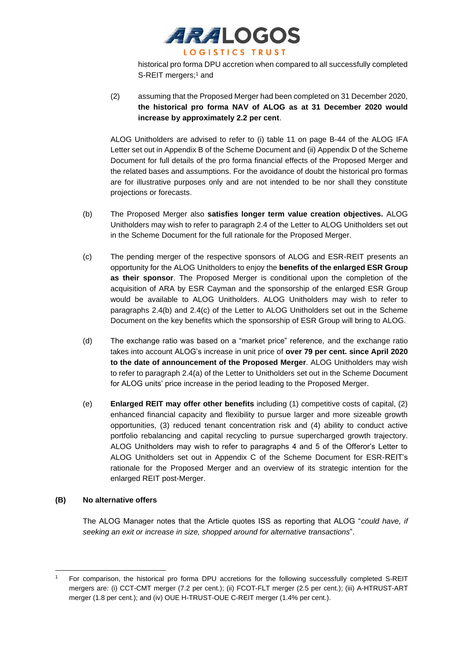

historical pro forma DPU accretion when compared to all successfully completed S-REIT mergers;<sup>1</sup> and

(2) assuming that the Proposed Merger had been completed on 31 December 2020, **the historical pro forma NAV of ALOG as at 31 December 2020 would increase by approximately 2.2 per cent**.

ALOG Unitholders are advised to refer to (i) table 11 on page B-44 of the ALOG IFA Letter set out in Appendix B of the Scheme Document and (ii) Appendix D of the Scheme Document for full details of the pro forma financial effects of the Proposed Merger and the related bases and assumptions. For the avoidance of doubt the historical pro formas are for illustrative purposes only and are not intended to be nor shall they constitute projections or forecasts.

- (b) The Proposed Merger also **satisfies longer term value creation objectives.** ALOG Unitholders may wish to refer to paragraph 2.4 of the Letter to ALOG Unitholders set out in the Scheme Document for the full rationale for the Proposed Merger.
- (c) The pending merger of the respective sponsors of ALOG and ESR-REIT presents an opportunity for the ALOG Unitholders to enjoy the **benefits of the enlarged ESR Group as their sponsor**. The Proposed Merger is conditional upon the completion of the acquisition of ARA by ESR Cayman and the sponsorship of the enlarged ESR Group would be available to ALOG Unitholders. ALOG Unitholders may wish to refer to paragraphs 2.4(b) and 2.4(c) of the Letter to ALOG Unitholders set out in the Scheme Document on the key benefits which the sponsorship of ESR Group will bring to ALOG.
- (d) The exchange ratio was based on a "market price" reference, and the exchange ratio takes into account ALOG's increase in unit price of **over 79 per cent. since April 2020 to the date of announcement of the Proposed Merger**. ALOG Unitholders may wish to refer to paragraph 2.4(a) of the Letter to Unitholders set out in the Scheme Document for ALOG units' price increase in the period leading to the Proposed Merger.
- (e) **Enlarged REIT may offer other benefits** including (1) competitive costs of capital, (2) enhanced financial capacity and flexibility to pursue larger and more sizeable growth opportunities, (3) reduced tenant concentration risk and (4) ability to conduct active portfolio rebalancing and capital recycling to pursue supercharged growth trajectory. ALOG Unitholders may wish to refer to paragraphs 4 and 5 of the Offeror's Letter to ALOG Unitholders set out in Appendix C of the Scheme Document for ESR-REIT's rationale for the Proposed Merger and an overview of its strategic intention for the enlarged REIT post-Merger.

## **(B) No alternative offers**

The ALOG Manager notes that the Article quotes ISS as reporting that ALOG "*could have, if seeking an exit or increase in size, shopped around for alternative transactions*".

<sup>1</sup> For comparison, the historical pro forma DPU accretions for the following successfully completed S-REIT mergers are: (i) CCT-CMT merger (7.2 per cent.); (ii) FCOT-FLT merger (2.5 per cent.); (iii) A-HTRUST-ART merger (1.8 per cent.); and (iv) OUE H-TRUST-OUE C-REIT merger (1.4% per cent.).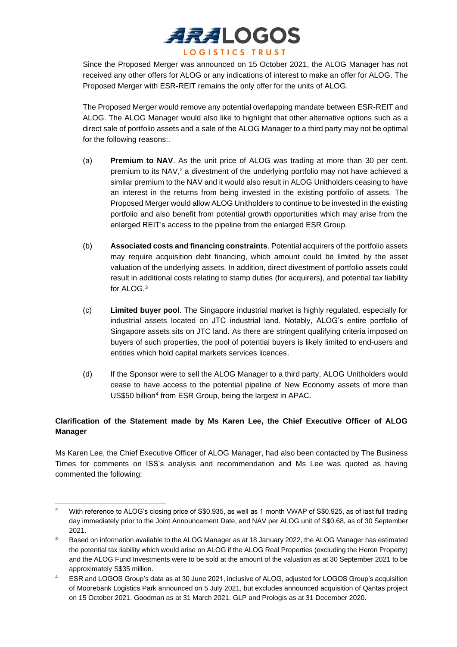

Since the Proposed Merger was announced on 15 October 2021, the ALOG Manager has not received any other offers for ALOG or any indications of interest to make an offer for ALOG. The Proposed Merger with ESR-REIT remains the only offer for the units of ALOG.

The Proposed Merger would remove any potential overlapping mandate between ESR-REIT and ALOG. The ALOG Manager would also like to highlight that other alternative options such as a direct sale of portfolio assets and a sale of the ALOG Manager to a third party may not be optimal for the following reasons:.

- (a) **Premium to NAV**. As the unit price of ALOG was trading at more than 30 per cent. premium to its NAV, <sup>2</sup> a divestment of the underlying portfolio may not have achieved a similar premium to the NAV and it would also result in ALOG Unitholders ceasing to have an interest in the returns from being invested in the existing portfolio of assets. The Proposed Merger would allow ALOG Unitholders to continue to be invested in the existing portfolio and also benefit from potential growth opportunities which may arise from the enlarged REIT's access to the pipeline from the enlarged ESR Group.
- (b) **Associated costs and financing constraints**. Potential acquirers of the portfolio assets may require acquisition debt financing, which amount could be limited by the asset valuation of the underlying assets. In addition, direct divestment of portfolio assets could result in additional costs relating to stamp duties (for acquirers), and potential tax liability for ALOG. 3
- (c) **Limited buyer pool**. The Singapore industrial market is highly regulated, especially for industrial assets located on JTC industrial land. Notably, ALOG's entire portfolio of Singapore assets sits on JTC land. As there are stringent qualifying criteria imposed on buyers of such properties, the pool of potential buyers is likely limited to end-users and entities which hold capital markets services licences.
- (d) If the Sponsor were to sell the ALOG Manager to a third party, ALOG Unitholders would cease to have access to the potential pipeline of New Economy assets of more than US\$50 billion<sup>4</sup> from ESR Group, being the largest in APAC.

# **Clarification of the Statement made by Ms Karen Lee, the Chief Executive Officer of ALOG Manager**

Ms Karen Lee, the Chief Executive Officer of ALOG Manager, had also been contacted by The Business Times for comments on ISS's analysis and recommendation and Ms Lee was quoted as having commented the following:

<sup>&</sup>lt;sup>2</sup> With reference to ALOG's closing price of S\$0.935, as well as 1 month VWAP of S\$0.925, as of last full trading day immediately prior to the Joint Announcement Date, and NAV per ALOG unit of S\$0.68, as of 30 September 2021.

<sup>3</sup> Based on information available to the ALOG Manager as at 18 January 2022, the ALOG Manager has estimated the potential tax liability which would arise on ALOG if the ALOG Real Properties (excluding the Heron Property) and the ALOG Fund Investments were to be sold at the amount of the valuation as at 30 September 2021 to be approximately S\$35 million.

<sup>4</sup> ESR and LOGOS Group's data as at 30 June 2021, inclusive of ALOG, adjusted for LOGOS Group's acquisition of Moorebank Logistics Park announced on 5 July 2021, but excludes announced acquisition of Qantas project on 15 October 2021. Goodman as at 31 March 2021. GLP and Prologis as at 31 December 2020.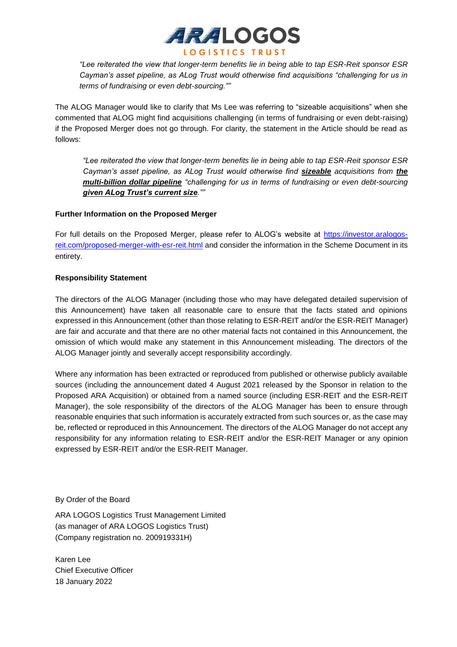

*"Lee reiterated the view that longer-term benefits lie in being able to tap ESR-Reit sponsor ESR Cayman's asset pipeline, as ALog Trust would otherwise find acquisitions "challenging for us in terms of fundraising or even debt-sourcing.""*

The ALOG Manager would like to clarify that Ms Lee was referring to "sizeable acquisitions" when she commented that ALOG might find acquisitions challenging (in terms of fundraising or even debt-raising) if the Proposed Merger does not go through. For clarity, the statement in the Article should be read as follows:

*"Lee reiterated the view that longer-term benefits lie in being able to tap ESR-Reit sponsor ESR Cayman's asset pipeline, as ALog Trust would otherwise find sizeable acquisitions from the multi-billion dollar pipeline "challenging for us in terms of fundraising or even debt-sourcing given ALog Trust's current size.""*

## **Further Information on the Proposed Merger**

For full details on the Proposed Merger, please refer to ALOG's website at [https://investor.aralogos](https://investor.aralogos-reit.com/proposed-merger-with-esr-reit.html)[reit.com/proposed-merger-with-esr-reit.html](https://investor.aralogos-reit.com/proposed-merger-with-esr-reit.html) and consider the information in the Scheme Document in its entirety.

# **Responsibility Statement**

The directors of the ALOG Manager (including those who may have delegated detailed supervision of this Announcement) have taken all reasonable care to ensure that the facts stated and opinions expressed in this Announcement (other than those relating to ESR-REIT and/or the ESR-REIT Manager) are fair and accurate and that there are no other material facts not contained in this Announcement, the omission of which would make any statement in this Announcement misleading. The directors of the ALOG Manager jointly and severally accept responsibility accordingly.

Where any information has been extracted or reproduced from published or otherwise publicly available sources (including the announcement dated 4 August 2021 released by the Sponsor in relation to the Proposed ARA Acquisition) or obtained from a named source (including ESR-REIT and the ESR-REIT Manager), the sole responsibility of the directors of the ALOG Manager has been to ensure through reasonable enquiries that such information is accurately extracted from such sources or, as the case may be, reflected or reproduced in this Announcement. The directors of the ALOG Manager do not accept any responsibility for any information relating to ESR-REIT and/or the ESR-REIT Manager or any opinion expressed by ESR-REIT and/or the ESR-REIT Manager.

By Order of the Board

ARA LOGOS Logistics Trust Management Limited (as manager of ARA LOGOS Logistics Trust) (Company registration no. 200919331H)

Karen Lee Chief Executive Officer 18 January 2022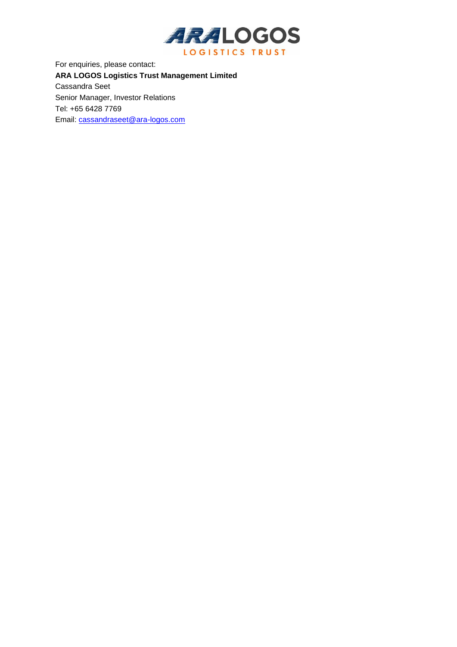

For enquiries, please contact: **ARA LOGOS Logistics Trust Management Limited** Cassandra Seet Senior Manager, Investor Relations Tel: +65 6428 7769 Email: [cassandraseet@ara-logos.com](mailto:cassandraseet@ara-logos.com)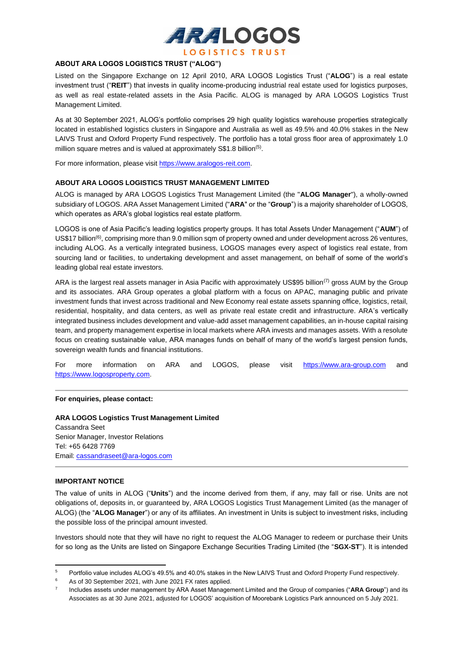

## **ABOUT ARA LOGOS LOGISTICS TRUST ("ALOG")**

Listed on the Singapore Exchange on 12 April 2010, ARA LOGOS Logistics Trust ("**ALOG**") is a real estate investment trust ("**REIT**") that invests in quality income-producing industrial real estate used for logistics purposes, as well as real estate-related assets in the Asia Pacific. ALOG is managed by ARA LOGOS Logistics Trust Management Limited.

As at 30 September 2021, ALOG's portfolio comprises 29 high quality logistics warehouse properties strategically located in established logistics clusters in Singapore and Australia as well as 49.5% and 40.0% stakes in the New LAIVS Trust and Oxford Property Fund respectively. The portfolio has a total gross floor area of approximately 1.0 million square metres and is valued at approximately S\$1.8 billion<sup>(5)</sup>.

For more information, please visit https://www.aralogos-reit.com.

### **ABOUT ARA LOGOS LOGISTICS TRUST MANAGEMENT LIMITED**

ALOG is managed by ARA LOGOS Logistics Trust Management Limited (the "**ALOG Manager**"), a wholly-owned subsidiary of LOGOS. ARA Asset Management Limited ("**ARA**" or the "**Group**") is a majority shareholder of LOGOS, which operates as ARA's global logistics real estate platform.

LOGOS is one of Asia Pacific's leading logistics property groups. It has total Assets Under Management ("**AUM**") of US\$17 billion<sup>(6)</sup>, comprising more than 9.0 million sqm of property owned and under development across 26 ventures, including ALOG. As a vertically integrated business, LOGOS manages every aspect of logistics real estate, from sourcing land or facilities, to undertaking development and asset management, on behalf of some of the world's leading global real estate investors.

ARA is the largest real assets manager in Asia Pacific with approximately US\$95 billion<sup>(7)</sup> gross AUM by the Group and its associates. ARA Group operates a global platform with a focus on APAC, managing public and private investment funds that invest across traditional and New Economy real estate assets spanning office, logistics, retail, residential, hospitality, and data centers, as well as private real estate credit and infrastructure. ARA's vertically integrated business includes development and value-add asset management capabilities, an in-house capital raising team, and property management expertise in local markets where ARA invests and manages assets. With a resolute focus on creating sustainable value, ARA manages funds on behalf of many of the world's largest pension funds, sovereign wealth funds and financial institutions.

For more information on ARA and LOGOS, please visit [https://www.ara-group.com](https://www.ara-group.com/) and [https://www.logosproperty.com.](https://www.logosproperty.com/)

### **For enquiries, please contact:**

**ARA LOGOS Logistics Trust Management Limited** Cassandra Seet Senior Manager, Investor Relations Tel: +65 6428 7769 Email[: cassandraseet@ara-logos.com](mailto:cassandraseet@ara-logos.com)

### **IMPORTANT NOTICE**

The value of units in ALOG ("**Units**") and the income derived from them, if any, may fall or rise. Units are not obligations of, deposits in, or guaranteed by, ARA LOGOS Logistics Trust Management Limited (as the manager of ALOG) (the "**ALOG Manager**") or any of its affiliates. An investment in Units is subject to investment risks, including the possible loss of the principal amount invested.

Investors should note that they will have no right to request the ALOG Manager to redeem or purchase their Units for so long as the Units are listed on Singapore Exchange Securities Trading Limited (the "**SGX-ST**"). It is intended

<sup>5</sup> Portfolio value includes ALOG's 49.5% and 40.0% stakes in the New LAIVS Trust and Oxford Property Fund respectively.

<sup>&</sup>lt;sup>6</sup> As of 30 September 2021, with June 2021 FX rates applied.

<sup>7</sup> Includes assets under management by ARA Asset Management Limited and the Group of companies ("**ARA Group**") and its Associates as at 30 June 2021, adjusted for LOGOS' acquisition of Moorebank Logistics Park announced on 5 July 2021.